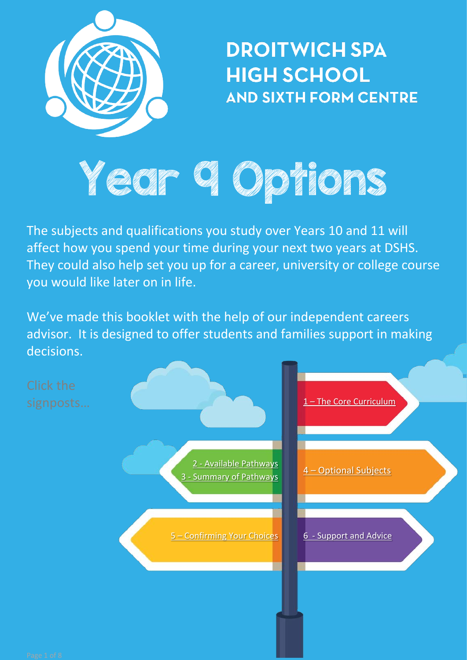

**DROITWICH SPA HIGH SCHOOL AND SIXTH FORM CENTRE** 

# Year Ch Char Roth

The subjects and qualifications you study over Years 10 and 11 will affect how you spend your time during your next two years at DSHS. They could also help set you up for a career, university or college course you would like later on in life.

We've made this booklet with the help of our independent careers advisor. It is designed to offer students and families support in making decisions.

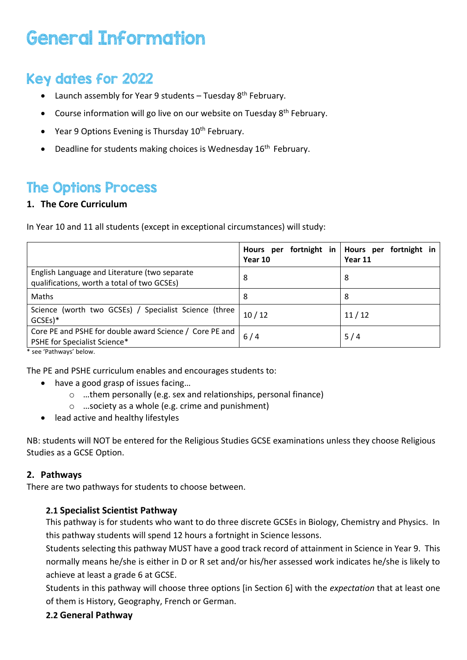## General Information

## Key dates for 2022

- Launch assembly for Year 9 students Tuesday  $8<sup>th</sup>$  February.
- Course information will go live on our website on Tuesday 8<sup>th</sup> February.
- Year 9 Options Evening is Thursday 10<sup>th</sup> February.
- Deadline for students making choices is Wednesday 16<sup>th</sup> February.

### The Options Process

#### <span id="page-1-0"></span>**1. The Core Curriculum**

In Year 10 and 11 all students (except in exceptional circumstances) will study:

|                                                                                              | Hours<br>per<br>Year 10 | fortnight in   Hours per fortnight in<br>Year 11 |
|----------------------------------------------------------------------------------------------|-------------------------|--------------------------------------------------|
| English Language and Literature (two separate<br>qualifications, worth a total of two GCSEs) | 8                       | 8                                                |
| Maths                                                                                        | 8                       | 8                                                |
| Science (worth two GCSEs) / Specialist Science (three<br>$GCSEs$ <sup>*</sup>                | 10/12                   | 11/12                                            |
| Core PE and PSHE for double award Science / Core PE and<br>PSHE for Specialist Science*      | 6/4                     | 5/4                                              |

\* see 'Pathways' below.

The PE and PSHE curriculum enables and encourages students to:

- have a good grasp of issues facing...
	- o …them personally (e.g. sex and relationships, personal finance)
	- o …society as a whole (e.g. crime and punishment)
- lead active and healthy lifestyles

NB: students will NOT be entered for the Religious Studies GCSE examinations unless they choose Religious Studies as a GCSE Option.

#### <span id="page-1-1"></span>**2. Pathways**

There are two pathways for students to choose between.

#### **2.1 Specialist Scientist Pathway**

This pathway is for students who want to do three discrete GCSEs in Biology, Chemistry and Physics. In this pathway students will spend 12 hours a fortnight in Science lessons.

Students selecting this pathway MUST have a good track record of attainment in Science in Year 9. This normally means he/she is either in D or R set and/or his/her assessed work indicates he/she is likely to achieve at least a grade 6 at GCSE.

Students in this pathway will choose three options [in Section 6] with the *expectation* that at least one of them is History, Geography, French or German.

#### **2.2 General Pathway**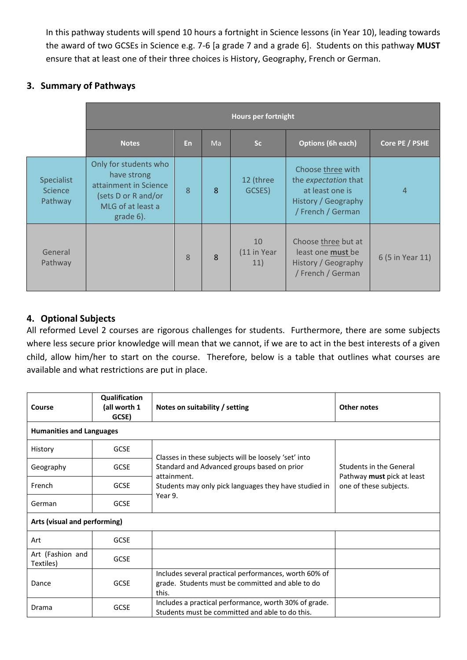In this pathway students will spend 10 hours a fortnight in Science lessons (in Year 10), leading towards the award of two GCSEs in Science e.g. 7-6 [a grade 7 and a grade 6]. Students on this pathway **MUST** ensure that at least one of their three choices is History, Geography, French or German.

#### <span id="page-2-0"></span>**3. Summary of Pathways**

|                                                | <b>Hours per fortnight</b>                                                                                             |           |    |                          |                                                                                                          |                  |
|------------------------------------------------|------------------------------------------------------------------------------------------------------------------------|-----------|----|--------------------------|----------------------------------------------------------------------------------------------------------|------------------|
|                                                | <b>Notes</b>                                                                                                           | <b>En</b> | Ma | Sc                       | <b>Options (6h each)</b>                                                                                 | Core PE / PSHE   |
| <b>Specialist</b><br><b>Science</b><br>Pathway | Only for students who<br>have strong<br>attainment in Science<br>(sets D or R and/or<br>MLG of at least a<br>grade 6). | 8         | 8  | 12 (three<br>GCSES)      | Choose three with<br>the expectation that<br>at least one is<br>History / Geography<br>/ French / German | $\overline{4}$   |
| General<br>Pathway                             |                                                                                                                        | 8         | 8  | 10<br>(11 in Year<br>11) | Choose three but at<br>least one <b>must</b> be<br>History / Geography<br>/ French / German              | 6 (5 in Year 11) |

#### <span id="page-2-1"></span>**4. Optional Subjects**

All reformed Level 2 courses are rigorous challenges for students. Furthermore, there are some subjects where less secure prior knowledge will mean that we cannot, if we are to act in the best interests of a given child, allow him/her to start on the course. Therefore, below is a table that outlines what courses are available and what restrictions are put in place.

| Course                          | Qualification<br>(all worth 1<br>GCSE) | Notes on suitability / setting                                                                                     | Other notes                                                                     |  |  |
|---------------------------------|----------------------------------------|--------------------------------------------------------------------------------------------------------------------|---------------------------------------------------------------------------------|--|--|
| <b>Humanities and Languages</b> |                                        |                                                                                                                    |                                                                                 |  |  |
| History                         | <b>GCSE</b>                            | Classes in these subjects will be loosely 'set' into                                                               | Students in the General<br>Pathway must pick at least<br>one of these subjects. |  |  |
| Geography                       | <b>GCSE</b>                            | Standard and Advanced groups based on prior<br>attainment.                                                         |                                                                                 |  |  |
| French                          | <b>GCSE</b>                            | Students may only pick languages they have studied in                                                              |                                                                                 |  |  |
| German                          | <b>GCSE</b>                            | Year 9.                                                                                                            |                                                                                 |  |  |
| Arts (visual and performing)    |                                        |                                                                                                                    |                                                                                 |  |  |
| Art                             | <b>GCSE</b>                            |                                                                                                                    |                                                                                 |  |  |
| Art (Fashion and<br>Textiles)   | <b>GCSE</b>                            |                                                                                                                    |                                                                                 |  |  |
| Dance                           | <b>GCSE</b>                            | Includes several practical performances, worth 60% of<br>grade. Students must be committed and able to do<br>this. |                                                                                 |  |  |
| Drama                           | <b>GCSE</b>                            | Includes a practical performance, worth 30% of grade.<br>Students must be committed and able to do this.           |                                                                                 |  |  |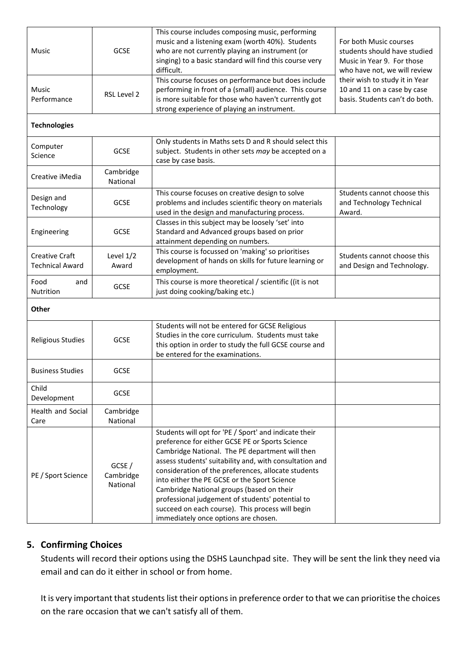| Music                                           | <b>GCSE</b>                     | This course includes composing music, performing<br>music and a listening exam (worth 40%). Students<br>who are not currently playing an instrument (or<br>singing) to a basic standard will find this course very<br>difficult.                                                                                                                                                                                                                                                                                           | For both Music courses<br>students should have studied<br>Music in Year 9. For those<br>who have not, we will review |
|-------------------------------------------------|---------------------------------|----------------------------------------------------------------------------------------------------------------------------------------------------------------------------------------------------------------------------------------------------------------------------------------------------------------------------------------------------------------------------------------------------------------------------------------------------------------------------------------------------------------------------|----------------------------------------------------------------------------------------------------------------------|
| <b>Music</b><br>Performance                     | RSL Level 2                     | This course focuses on performance but does include<br>performing in front of a (small) audience. This course<br>is more suitable for those who haven't currently got<br>strong experience of playing an instrument.                                                                                                                                                                                                                                                                                                       | their wish to study it in Year<br>10 and 11 on a case by case<br>basis. Students can't do both.                      |
| <b>Technologies</b>                             |                                 |                                                                                                                                                                                                                                                                                                                                                                                                                                                                                                                            |                                                                                                                      |
| Computer<br>Science                             | <b>GCSE</b>                     | Only students in Maths sets D and R should select this<br>subject. Students in other sets may be accepted on a<br>case by case basis.                                                                                                                                                                                                                                                                                                                                                                                      |                                                                                                                      |
| Creative iMedia                                 | Cambridge<br>National           |                                                                                                                                                                                                                                                                                                                                                                                                                                                                                                                            |                                                                                                                      |
| Design and<br>Technology                        | <b>GCSE</b>                     | This course focuses on creative design to solve<br>problems and includes scientific theory on materials<br>used in the design and manufacturing process.                                                                                                                                                                                                                                                                                                                                                                   | Students cannot choose this<br>and Technology Technical<br>Award.                                                    |
| Engineering                                     | <b>GCSE</b>                     | Classes in this subject may be loosely 'set' into<br>Standard and Advanced groups based on prior<br>attainment depending on numbers.                                                                                                                                                                                                                                                                                                                                                                                       |                                                                                                                      |
| <b>Creative Craft</b><br><b>Technical Award</b> | Level 1/2<br>Award              | This course is focussed on 'making' so prioritises<br>development of hands on skills for future learning or<br>employment.                                                                                                                                                                                                                                                                                                                                                                                                 | Students cannot choose this<br>and Design and Technology.                                                            |
| Food<br>and<br>Nutrition                        | <b>GCSE</b>                     | This course is more theoretical / scientific ((it is not<br>just doing cooking/baking etc.)                                                                                                                                                                                                                                                                                                                                                                                                                                |                                                                                                                      |
| Other                                           |                                 |                                                                                                                                                                                                                                                                                                                                                                                                                                                                                                                            |                                                                                                                      |
| <b>Religious Studies</b>                        | <b>GCSE</b>                     | Students will not be entered for GCSE Religious<br>Studies in the core curriculum. Students must take<br>this option in order to study the full GCSE course and<br>be entered for the examinations.                                                                                                                                                                                                                                                                                                                        |                                                                                                                      |
| <b>Business Studies</b>                         | <b>GCSE</b>                     |                                                                                                                                                                                                                                                                                                                                                                                                                                                                                                                            |                                                                                                                      |
| Child<br>Development                            | <b>GCSE</b>                     |                                                                                                                                                                                                                                                                                                                                                                                                                                                                                                                            |                                                                                                                      |
| Health and Social<br>Care                       | Cambridge<br>National           |                                                                                                                                                                                                                                                                                                                                                                                                                                                                                                                            |                                                                                                                      |
| PE / Sport Science                              | GCSE /<br>Cambridge<br>National | Students will opt for 'PE / Sport' and indicate their<br>preference for either GCSE PE or Sports Science<br>Cambridge National. The PE department will then<br>assess students' suitability and, with consultation and<br>consideration of the preferences, allocate students<br>into either the PE GCSE or the Sport Science<br>Cambridge National groups (based on their<br>professional judgement of students' potential to<br>succeed on each course). This process will begin<br>immediately once options are chosen. |                                                                                                                      |

#### <span id="page-3-0"></span>**5. Confirming Choices**

Students will record their options using the DSHS Launchpad site. They will be sent the link they need via email and can do it either in school or from home.

It is very important that students list their options in preference order to that we can prioritise the choices on the rare occasion that we can't satisfy all of them.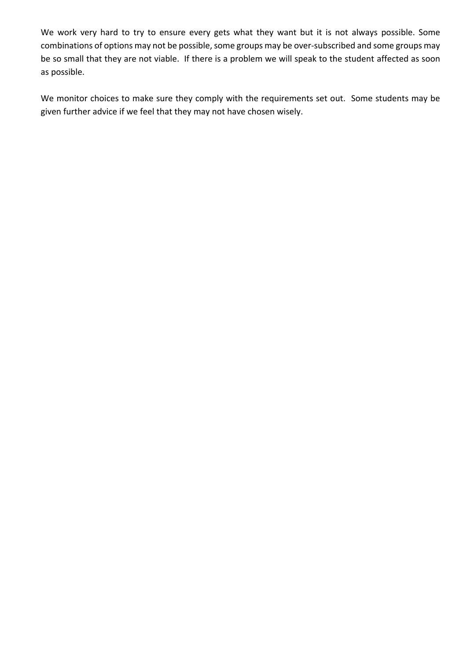We work very hard to try to ensure every gets what they want but it is not always possible. Some combinations of options may not be possible, some groups may be over-subscribed and some groups may be so small that they are not viable. If there is a problem we will speak to the student affected as soon as possible.

<span id="page-4-0"></span>We monitor choices to make sure they comply with the requirements set out. Some students may be given further advice if we feel that they may not have chosen wisely.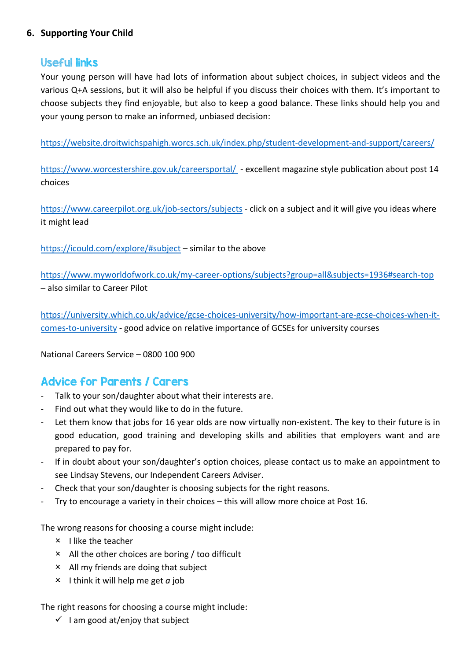#### **6. Supporting Your Child**

#### Useful links

Your young person will have had lots of information about subject choices, in subject videos and the various Q+A sessions, but it will also be helpful if you discuss their choices with them. It's important to choose subjects they find enjoyable, but also to keep a good balance. These links should help you and your young person to make an informed, unbiased decision:

<https://website.droitwichspahigh.worcs.sch.uk/index.php/student-development-and-support/careers/>

[https://www.worcestershire.gov.uk/careersportal/](https://online.flipbuilder.com/iqah/ptzm/) - excellent magazine style publication about post 14 choices

<https://www.careerpilot.org.uk/job-sectors/subjects> - click on a subject and it will give you ideas where it might lead

<https://icould.com/explore/#subject> – similar to the above

<https://www.myworldofwork.co.uk/my-career-options/subjects?group=all&subjects=1936#search-top> – also similar to Career Pilot

[https://university.which.co.uk/advice/gcse-choices-university/how-important-are-gcse-choices-when-it](https://university.which.co.uk/advice/gcse-choices-university/how-important-are-gcse-choices-when-it-comes-to-universityv)[comes-to-university](https://university.which.co.uk/advice/gcse-choices-university/how-important-are-gcse-choices-when-it-comes-to-universityv) - good advice on relative importance of GCSEs for university courses

National Careers Service – 0800 100 900

#### Advice for Parents / Carers

- Talk to your son/daughter about what their interests are.
- Find out what they would like to do in the future.
- Let them know that jobs for 16 year olds are now virtually non-existent. The key to their future is in good education, good training and developing skills and abilities that employers want and are prepared to pay for.
- ‐ If in doubt about your son/daughter's option choices, please contact us to make an appointment to see Lindsay Stevens, our Independent Careers Adviser.
- ‐ Check that your son/daughter is choosing subjects for the right reasons.
- ‐ Try to encourage a variety in their choices this will allow more choice at Post 16.

The wrong reasons for choosing a course might include:

- $\times$  I like the teacher
- All the other choices are boring / too difficult
- $\times$  All my friends are doing that subject
- $\times$  1 think it will help me get *a* job

The right reasons for choosing a course might include:

 $\checkmark$  I am good at/enjoy that subject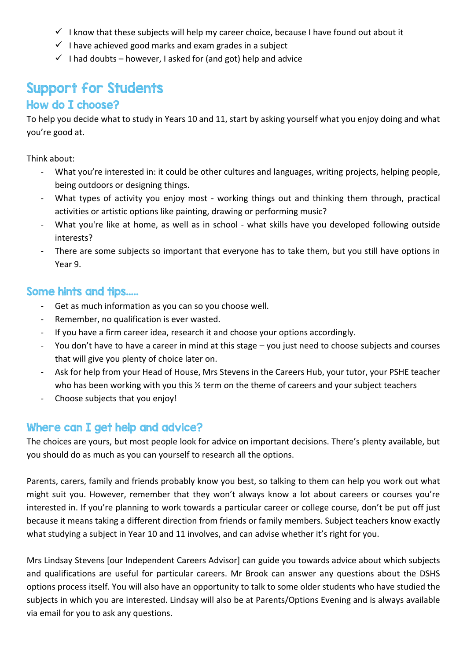- $\checkmark$  I know that these subjects will help my career choice, because I have found out about it
- $\checkmark$  I have achieved good marks and exam grades in a subject
- $\checkmark$  I had doubts however, I asked for (and got) help and advice

## Support for Students

#### How do I choose?

To help you decide what to study in Years 10 and 11, start by asking yourself what you enjoy doing and what you're good at.

Think about:

- What you're interested in: it could be other cultures and languages, writing projects, helping people, being outdoors or designing things.
- What types of activity you enjoy most working things out and thinking them through, practical activities or artistic options like painting, drawing or performing music?
- What you're like at home, as well as in school what skills have you developed following outside interests?
- There are some subjects so important that everyone has to take them, but you still have options in Year 9.

#### Some hints and tips.....

- ‐ Get as much information as you can so you choose well.
- ‐ Remember, no qualification is ever wasted.
- ‐ If you have a firm career idea, research it and choose your options accordingly.
- ‐ You don't have to have a career in mind at this stage you just need to choose subjects and courses that will give you plenty of choice later on.
- Ask for help from your Head of House, Mrs Stevens in the Careers Hub, your tutor, your PSHE teacher who has been working with you this  $\frac{1}{2}$  term on the theme of careers and your subject teachers
- ‐ Choose subjects that you enjoy!

#### Where can I get help and advice?

The choices are yours, but most people look for advice on important decisions. There's plenty available, but you should do as much as you can yourself to research all the options.

Parents, carers, family and friends probably know you best, so talking to them can help you work out what might suit you. However, remember that they won't always know a lot about careers or courses you're interested in. If you're planning to work towards a particular career or college course, don't be put off just because it means taking a different direction from friends or family members. Subject teachers know exactly what studying a subject in Year 10 and 11 involves, and can advise whether it's right for you.

Mrs Lindsay Stevens [our Independent Careers Advisor] can guide you towards advice about which subjects and qualifications are useful for particular careers. Mr Brook can answer any questions about the DSHS options process itself. You will also have an opportunity to talk to some older students who have studied the subjects in which you are interested. Lindsay will also be at Parents/Options Evening and is always available via email for you to ask any questions.